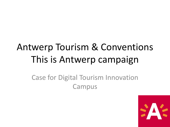# Antwerp Tourism & Conventions This is Antwerp campaign

#### Case for Digital Tourism Innovation Campus

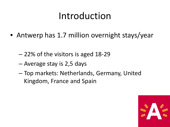#### Introduction

- Antwerp has 1.7 million overnight stays/year
	- 22% of the visitors is aged 18-29
	- Average stay is 2,5 days
	- Top markets: Netherlands, Germany, United Kingdom, France and Spain

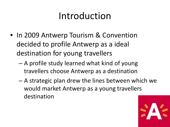# Introduction

- In 2009 Antwerp Tourism & Convention decided to profile Antwerp as a ideal destination for young travellers
	- A profile study learned what kind of young travellers choose Antwerp as a destination
	- A strategic plan drew the lines between which we would market Antwerp as a young travellers destination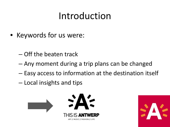# Introduction

- Keywords for us were:
	- Off the beaten track
	- Any moment during a trip plans can be changed
	- Easy access to information at the destination itself
	- Local insights and tips



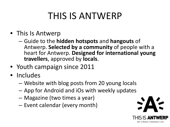- This Is Antwerp
	- Guide to the **hidden hotspots** and **hangouts** of Antwerp. **Selected by a community** of people with a heart for Antwerp. **Designed for international young travellers**, approved by **locals**.
- Youth campaign since 2011
- Includes
	- Website with blog posts from 20 young locals
	- App for Android and iOs with weekly updates
	- Magazine (two times a year)
	- Event calendar (every month)

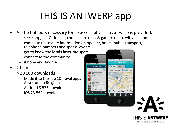# THIS IS ANTWERP app

- All the hotspots necessary for a successful visit to Antwerp is provided:
	- see, shop, eat & drink, go out, sleep, relax & gather, to do, wifi and student.
	- complete up to date information on opening hours, public transport, telephone numbers and special events
	- get to know the locals favourite spots
	- connect to the community
	- iPhone and Android
- Offline
- > 30 000 downloads
	- Made it to the Top 10 travel apps App store in Belgium
	- Android 8.523 downloads
	- iOS 23.569 downloads



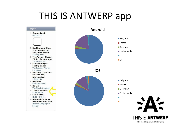#### THIS IS ANTWERP app



ART // MUSIC // FASHION // LIFE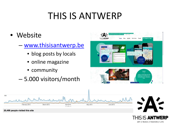- Website
	- [www.thisisantwerp.be](http://www.thisisantwerp.be/)
		- blog posts by locals
		- online magazine
		- community
	- 5.000 visitors/month



THIS IS **ANTWERP** ART // MUSIC // FASHION // LIFE



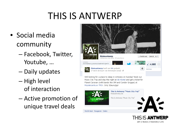- Social media community
	- Facebook, Twitter, Youtube, …
	- Daily updates
	- High level of interaction
	- Active promotion of unique travel deals



Still looking for a place to sleep in Antwerp on Sunday? Book our Music City Trip and stay the night at AB Hostel and get a ticket for Planet Caravan (with bands like OM and Condor Gruppe) at Muziekcentrum TRIX. Only 32euro/pp!



THIS IS **ANTWERP** ART // MUSIC // FASHION // LIFE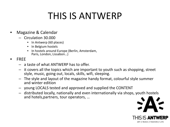- Magazine & Calendar
	- Circulation 30.000
		- In Antwerp (60 places)
		- In Belgium hostels
		- In hostels around Europe (Berlin, Amsterdam, Paris, London, Lissabon…)
- FREE
	- a taste of what ANTWERP has to offer.
	- it covers all the topics which are important to youth such as shopping, street style, music, going out, locals, skills, wifi, sleeping.
	- The style and layout of the magazine handy format, colourful style summer and winter edition
	- young LOCALS tested and approved and supplied the CONTENT
	- distributed locally, nationally and even internationally via shops, youth hostels and hotels,partners, tour operators, …